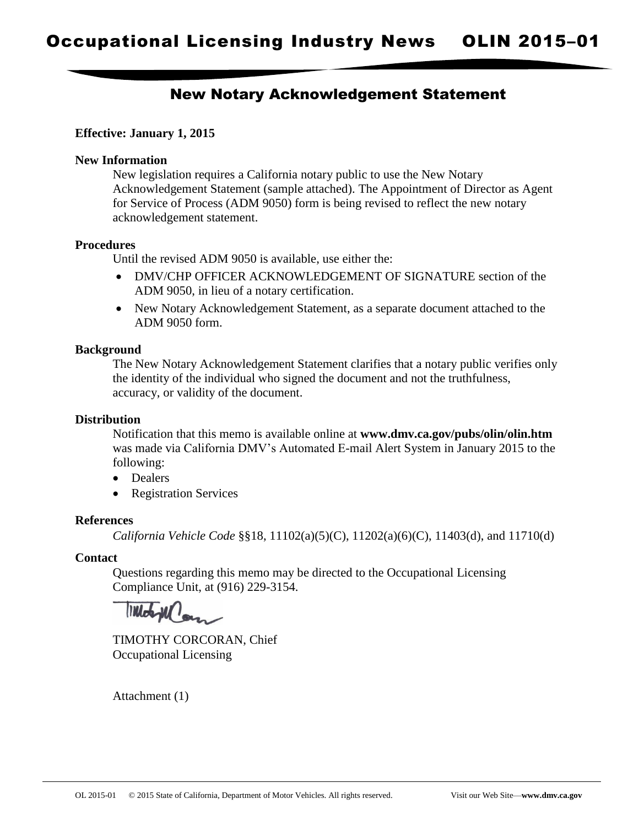# New Notary Acknowledgement Statement

# **Effective: January 1, 2015**

## **New Information**

New legislation requires a California notary public to use the New Notary Acknowledgement Statement (sample attached). The Appointment of Director as Agent for Service of Process (ADM 9050) form is being revised to reflect the new notary acknowledgement statement.

## **Procedures**

Until the revised ADM 9050 is available, use either the:

- DMV/CHP OFFICER ACKNOWLEDGEMENT OF SIGNATURE section of the ADM 9050, in lieu of a notary certification.
- New Notary Acknowledgement Statement, as a separate document attached to the ADM 9050 form.

### **Background**

The New Notary Acknowledgement Statement clarifies that a notary public verifies only the identity of the individual who signed the document and not the truthfulness, accuracy, or validity of the document.

# **Distribution**

Notification that this memo is available online at **www.dmv.ca.gov/pubs/olin/olin.htm** was made via California DMV's Automated E-mail Alert System in January 2015 to the following:

- Dealers
- Registration Services

#### **References**

*California Vehicle Code* §§18, 11102(a)(5)(C), 11202(a)(6)(C), 11403(d), and 11710(d)

## **Contact**

Questions regarding this memo may be directed to the Occupational Licensing Compliance Unit, at (916) 229-3154.

TIMOTHY CORCORAN, Chief Occupational Licensing

Attachment (1)